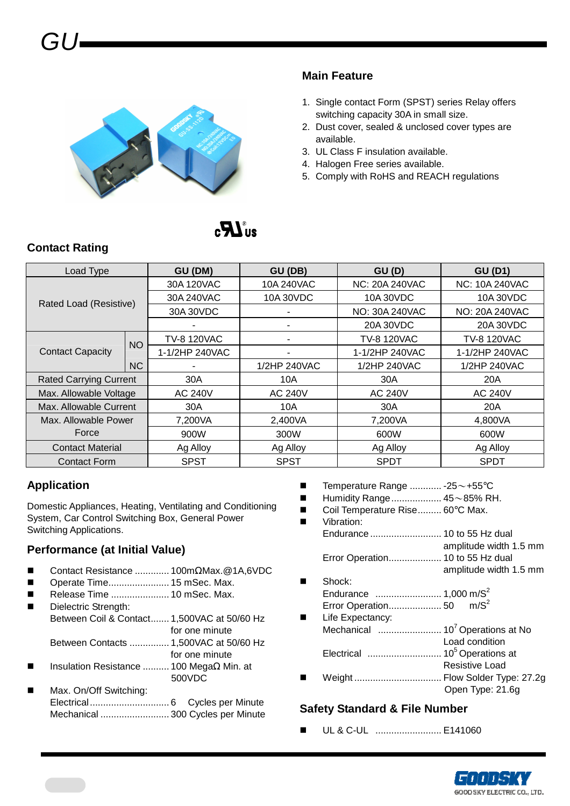# GU



#### **Main Feature**

- 1. Single contact Form (SPST) series Relay offers switching capacity 30A in small size.
- 2. Dust cover, sealed & unclosed cover types are available.
- 3. UL Class F insulation available.
- 4. Halogen Free series available.
- 5. Comply with RoHS and REACH regulations

# $\mathbf{F}$

#### **Contact Rating**

| Load Type                     |           | GU (DM)            | GU (DB)        | GU(D)                 | <b>GU (D1)</b>        |  |
|-------------------------------|-----------|--------------------|----------------|-----------------------|-----------------------|--|
|                               |           | 30A 120VAC         | 10A 240VAC     | <b>NC: 20A 240VAC</b> | <b>NC: 10A 240VAC</b> |  |
| Rated Load (Resistive)        |           | 30A 240VAC         | 10A 30VDC      | 10A 30VDC             | 10A 30VDC             |  |
|                               |           | 30A 30VDC          | NO: 30A 240VAC |                       | NO: 20A 240VAC        |  |
|                               |           |                    |                | 20A 30VDC             | 20A 30VDC             |  |
|                               | <b>NO</b> | <b>TV-8 120VAC</b> |                | <b>TV-8 120VAC</b>    | <b>TV-8 120VAC</b>    |  |
| <b>Contact Capacity</b>       |           | 1-1/2HP 240VAC     |                | 1-1/2HP 240VAC        | 1-1/2HP 240VAC        |  |
|                               | <b>NC</b> |                    | 1/2HP 240VAC   | 1/2HP 240VAC          | 1/2HP 240VAC          |  |
| <b>Rated Carrying Current</b> |           | 30A                | 10A            | 30A                   | 20A                   |  |
| Max. Allowable Voltage        |           | AC 240V            | <b>AC 240V</b> | AC 240V               | <b>AC 240V</b>        |  |
| Max. Allowable Current        |           | 30A                | 10A            | 30A                   | 20A                   |  |
| Max. Allowable Power          |           | 7,200VA            | 2,400VA        | 7,200VA               | 4,800VA               |  |
| Force                         |           | 900W               | 300W           | 600W                  | 600W                  |  |
| <b>Contact Material</b>       |           | Ag Alloy           | Ag Alloy       | Ag Alloy              | Ag Alloy              |  |
| <b>Contact Form</b>           |           | <b>SPST</b>        | <b>SPST</b>    | <b>SPDT</b>           | <b>SPDT</b>           |  |

#### **Application**

Domestic Appliances, Heating, Ventilating and Conditioning System, Car Control Switching Box, General Power Switching Applications.

#### **Performance (at Initial Value)**

- Contact Resistance ............. 100mΩMax.@1A,6VDC
- Operate Time....................... 15 mSec. Max.
- Release Time ...................... 10 mSec. Max.
- Dielectric Strength: Between Coil & Contact....... 1,500VAC at 50/60 Hz for one minute Between Contacts ............... 1,500VAC at 50/60 Hz
- for one minute Insulation Resistance .......... 100 MegaΩ Min. at
- 500VDC
- Max. On/Off Switching: Electrical.............................. 6 Cycles per Minute Mechanical .......................... 300 Cycles per Minute
- Temperature Range ............ -25~+55°C
- Humidity Range................... 45~85% RH.
- Coil Temperature Rise.......... 60°C Max.

 Vibration: Endurance ........................... 10 to 55 Hz dual amplitude width 1.5 mm Error Operation.................... 10 to 55 Hz dual amplitude width 1.5 mm Shock: Endurance ......................... 1,000 m/S<sup>2</sup> Error Operation.................... 50 m/S<sup>2</sup> **Life Expectancy:** Mechanical ........................ 10<sup>7</sup>Operations at No Load condition Electrical ............................ 10<sup>5</sup>Operations at Resistive Load Weight ................................. Flow Solder Type: 27.2g Open Type: 21.6g

#### **Safety Standard & File Number**

UL & C-UL ......................... E141060

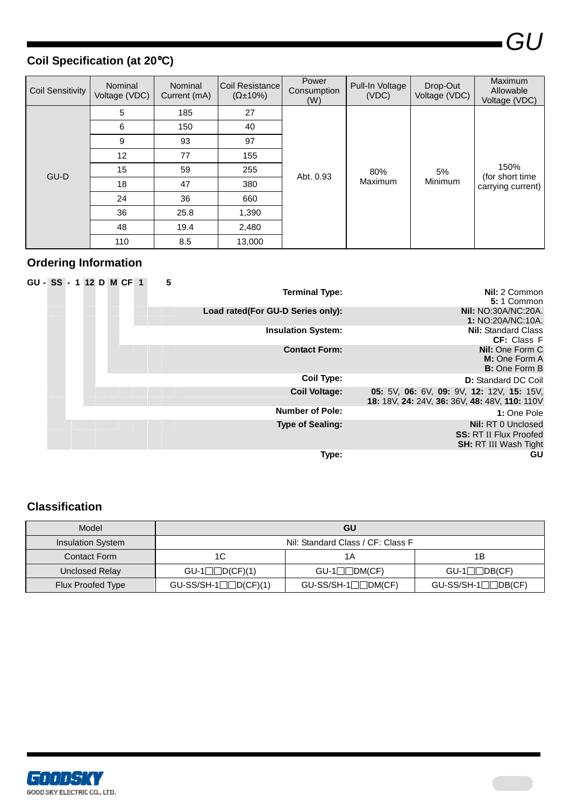GU

## **Coil Specification (at 20**°**C)**

| <b>Coil Sensitivity</b> | Nominal<br>Voltage (VDC) | <b>Nominal</b><br>Current (mA) | Coil Resistance<br>$(\Omega \pm 10\%)$ | Power<br>Consumption<br>(W) | Pull-In Voltage<br>(VDC) | Drop-Out<br>Voltage (VDC) | <b>Maximum</b><br>Allowable<br>Voltage (VDC) |
|-------------------------|--------------------------|--------------------------------|----------------------------------------|-----------------------------|--------------------------|---------------------------|----------------------------------------------|
|                         | 5                        | 185                            | 27                                     |                             |                          |                           | 150%<br>(for short time<br>carrying current) |
|                         | 6                        | 150                            | 40                                     | Abt. 0.93                   | 80%<br>Maximum           | 5%<br>Minimum             |                                              |
|                         | 9                        | 93                             | 97                                     |                             |                          |                           |                                              |
|                         | 12                       | 77                             | 155                                    |                             |                          |                           |                                              |
| GU-D                    | 15                       | 59                             | 255                                    |                             |                          |                           |                                              |
|                         | 18                       | 47                             | 380                                    |                             |                          |                           |                                              |
|                         | 24                       | 36                             | 660                                    |                             |                          |                           |                                              |
|                         | 36                       | 25.8                           | 1,390                                  |                             |                          |                           |                                              |
|                         | 48                       | 19.4                           | 2,480                                  |                             |                          |                           |                                              |
|                         | 110                      | 8.5                            | 13,000                                 |                             |                          |                           |                                              |

### **Ordering Information**

| GU - SS - 1 12 D M CF 1 |  |  |  | 5 |                                   |                                                                              |
|-------------------------|--|--|--|---|-----------------------------------|------------------------------------------------------------------------------|
|                         |  |  |  |   | <b>Terminal Type:</b>             | Nil: 2 Common                                                                |
|                         |  |  |  |   |                                   | 5:1 Common                                                                   |
|                         |  |  |  |   | Load rated(For GU-D Series only): | <b>Nil:</b> NO:30A/NC:20A.                                                   |
|                         |  |  |  |   |                                   | 1: NO:20A/NC:10A.                                                            |
|                         |  |  |  |   | <b>Insulation System:</b>         | <b>Nil:</b> Standard Class                                                   |
|                         |  |  |  |   |                                   | <b>CF:</b> Class F                                                           |
|                         |  |  |  |   | <b>Contact Form:</b>              | <b>Nil:</b> One Form C                                                       |
|                         |  |  |  |   |                                   | M: One Form A                                                                |
|                         |  |  |  |   |                                   | <b>B:</b> One Form B                                                         |
|                         |  |  |  |   | <b>Coil Type:</b>                 | <b>D:</b> Standard DC Coil                                                   |
|                         |  |  |  |   | <b>Coil Voltage:</b>              | <b>05:</b> 5V, <b>06:</b> 6V, <b>09:</b> 9V, <b>12:</b> 12V, <b>15:</b> 15V, |
|                         |  |  |  |   |                                   | 18: 18V, 24: 24V, 36: 36V, 48: 48V, 110: 110V                                |
|                         |  |  |  |   | <b>Number of Pole:</b>            | 1: One Pole                                                                  |
|                         |  |  |  |   | <b>Type of Sealing:</b>           | <b>Nil: RT 0 Unclosed</b>                                                    |
|                         |  |  |  |   |                                   | <b>SS: RT II Flux Proofed</b>                                                |
|                         |  |  |  |   |                                   | <b>SH: RT III Wash Tight</b>                                                 |
|                         |  |  |  |   | Type:                             | GU                                                                           |

#### **Classification**

| Model                    |                                   | GU                         |                     |  |  |
|--------------------------|-----------------------------------|----------------------------|---------------------|--|--|
| <b>Insulation System</b> | Nil: Standard Class / CF: Class F |                            |                     |  |  |
| Contact Form             | 1C                                | 1Α                         | 1Β                  |  |  |
| Unclosed Relay           | $GU-1$ D(CF)(1)                   | $\square$ DM(CF)<br>$GU-1$ | $GU-1$ DB(CF)       |  |  |
| Flux Proofed Type        | $GU-SS/SH-1$ D(CF)(1)             | $GU-SS/SH-1$ DM(CF)        | $GU-SS/SH-1$ DB(CF) |  |  |

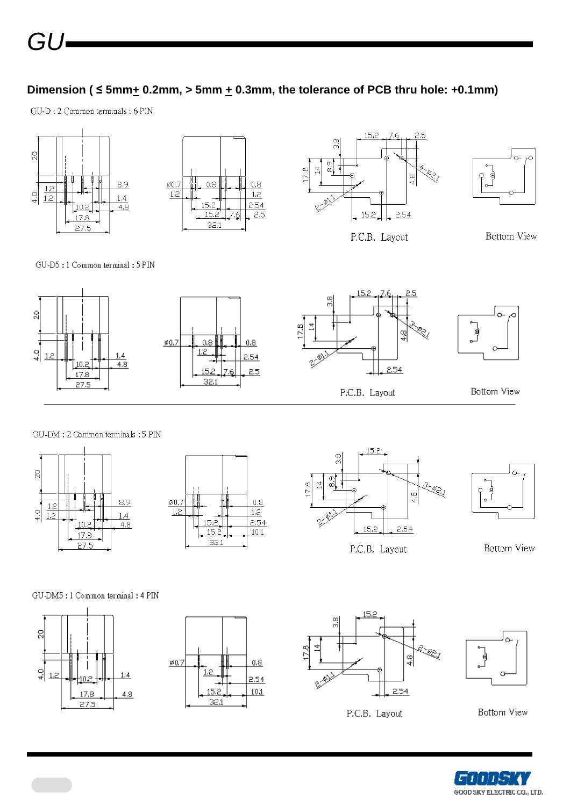#### Dimension ( $\leq 5$ mm $\pm$  0.2mm, > 5mm  $\pm$  0.3mm, the tolerance of PCB thru hole: +0.1mm)

GU-D : 2 Common terminals : 6 PIN







P.C.B. Layout



Bottom View

GU-D5:1 Common terminal: 5 PIN



#### GU-DM : 2 Common terminals : 5 PIN









**Bottom View** 

GU-DM5:1 Common terminal: 4 PIN







P.C.B. Layout



Bottom View